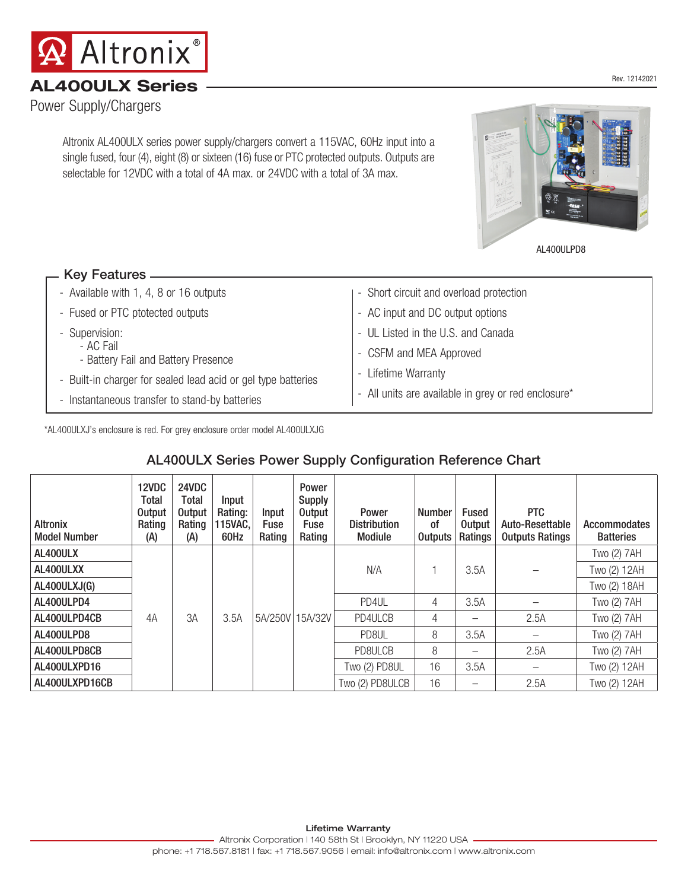Altronix AL400ULX series power supply/chargers convert a 115VAC, 60Hz input into a single fused, four (4), eight (8) or sixteen (16) fuse or PTC protected outputs. Outputs are selectable for 12VDC with a total of 4A max. or 24VDC with a total of 3A max.

#### - Available with 1, 4, 8 or 16 outputs Key Features

| - Fused or PTC ptotected outputs                              | - AC input and DC output options                    |  |
|---------------------------------------------------------------|-----------------------------------------------------|--|
| - Supervision:                                                | - UL Listed in the U.S. and Canada                  |  |
| - AC Fail<br>- Battery Fail and Battery Presence              | - CSFM and MEA Approved                             |  |
| - Built-in charger for sealed lead acid or gel type batteries | - Lifetime Warranty                                 |  |
| - Instantaneous transfer to stand-by batteries                | - All units are available in grey or red enclosure* |  |

- Short circuit and overload protection

\*AL400ULXJ's enclosure is red. For grey enclosure order model AL400ULXJG

### AL400ULX Series Power Supply Configuration Reference Chart

| <b>Altronix</b><br><b>Model Number</b> | 12VDC<br>Total<br><b>Output</b><br>Rating<br>(A) | 24VDC<br><b>Total</b><br><b>Output</b><br>Rating<br>(A) | Input<br>Rating:<br>115VAC,<br>60Hz | Input<br>Fuse<br>Rating | Power<br><b>Supply</b><br><b>Output</b><br>Fuse<br>Rating | Power<br><b>Distribution</b><br>Modiule | <b>Number</b><br>0f<br><b>Outputs</b> | Fused<br>Output<br>Ratings | PTC<br>Auto-Resettable<br><b>Outputs Ratings</b> | Accommodates<br><b>Batteries</b> |
|----------------------------------------|--------------------------------------------------|---------------------------------------------------------|-------------------------------------|-------------------------|-----------------------------------------------------------|-----------------------------------------|---------------------------------------|----------------------------|--------------------------------------------------|----------------------------------|
| AL400ULX                               |                                                  |                                                         |                                     |                         |                                                           |                                         |                                       |                            |                                                  | Two (2) 7AH                      |
| AL400ULXX                              |                                                  |                                                         |                                     |                         |                                                           | N/A                                     |                                       | 3.5A                       |                                                  | Two (2) 12AH                     |
| AL400ULXJ(G)                           |                                                  |                                                         |                                     |                         |                                                           |                                         |                                       |                            |                                                  | Two (2) 18AH                     |
| AL400ULPD4                             |                                                  |                                                         |                                     |                         |                                                           | PD4UL                                   | 4                                     | 3.5A                       |                                                  | Two (2) 7AH                      |
| AL400ULPD4CB                           | 4A                                               | 3A                                                      | 3.5A                                |                         | 5A/250V 15A/32V                                           | PD4ULCB                                 | 4                                     | —                          | 2.5A                                             | Two (2) 7AH                      |
| AL400ULPD8                             |                                                  |                                                         |                                     |                         |                                                           | PD8UL                                   | 8                                     | 3.5A                       |                                                  | Two (2) 7AH                      |
| AL400ULPD8CB                           |                                                  |                                                         |                                     |                         |                                                           | PD8ULCB                                 | 8                                     | —                          | 2.5A                                             | Two (2) 7AH                      |
| AL400ULXPD16                           |                                                  |                                                         |                                     |                         |                                                           | Two (2) PD8UL                           | 16                                    | 3.5A                       |                                                  | Two (2) 12AH                     |
| AL400ULXPD16CB                         |                                                  |                                                         |                                     |                         |                                                           | Two (2) PD8ULCB                         | 16                                    |                            | 2.5A                                             | Two (2) 12AH                     |







# AL400ULX Series **AL400ULX** Series **AL400ULX** Series **AL400ULX** Series **AL400ULX** Series **AL400**21

Power Supply/Chargers